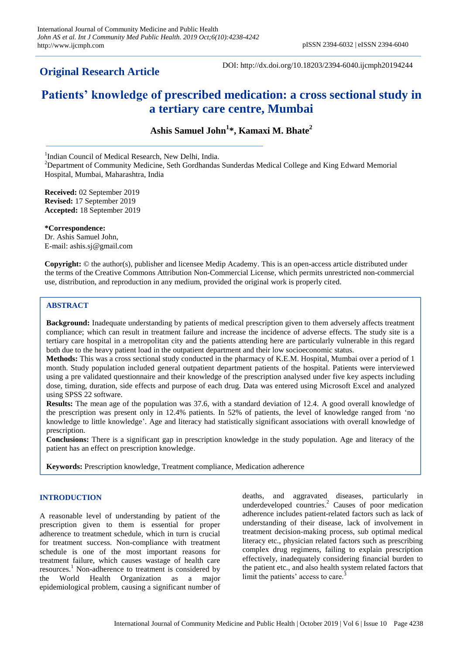## **Original Research Article**

DOI: http://dx.doi.org/10.18203/2394-6040.ijcmph20194244

# **Patients' knowledge of prescribed medication: a cross sectional study in a tertiary care centre, Mumbai**

**Ashis Samuel John<sup>1</sup> \*, Kamaxi M. Bhate<sup>2</sup>**

<sup>1</sup>Indian Council of Medical Research, New Delhi, India.

 $2$ Department of Community Medicine, Seth Gordhandas Sunderdas Medical College and King Edward Memorial Hospital, Mumbai, Maharashtra, India

**Received:** 02 September 2019 **Revised:** 17 September 2019 **Accepted:** 18 September 2019

**\*Correspondence:** Dr. Ashis Samuel John, E-mail: ashis.sj@gmail.com

**Copyright:** © the author(s), publisher and licensee Medip Academy. This is an open-access article distributed under the terms of the Creative Commons Attribution Non-Commercial License, which permits unrestricted non-commercial use, distribution, and reproduction in any medium, provided the original work is properly cited.

## **ABSTRACT**

**Background:** Inadequate understanding by patients of medical prescription given to them adversely affects treatment compliance; which can result in treatment failure and increase the incidence of adverse effects. The study site is a tertiary care hospital in a metropolitan city and the patients attending here are particularly vulnerable in this regard both due to the heavy patient load in the outpatient department and their low socioeconomic status.

**Methods:** This was a cross sectional study conducted in the pharmacy of K.E.M. Hospital, Mumbai over a period of 1 month. Study population included general outpatient department patients of the hospital. Patients were interviewed using a pre validated questionnaire and their knowledge of the prescription analysed under five key aspects including dose, timing, duration, side effects and purpose of each drug. Data was entered using Microsoft Excel and analyzed using SPSS 22 software.

**Results:** The mean age of the population was 37.6, with a standard deviation of 12.4. A good overall knowledge of the prescription was present only in 12.4% patients. In 52% of patients, the level of knowledge ranged from 'no knowledge to little knowledge'. Age and literacy had statistically significant associations with overall knowledge of prescription.

**Conclusions:** There is a significant gap in prescription knowledge in the study population. Age and literacy of the patient has an effect on prescription knowledge.

**Keywords:** Prescription knowledge, Treatment compliance, Medication adherence

## **INTRODUCTION**

A reasonable level of understanding by patient of the prescription given to them is essential for proper adherence to treatment schedule, which in turn is crucial for treatment success. Non-compliance with treatment schedule is one of the most important reasons for treatment failure, which causes wastage of health care resources.<sup>1</sup> Non-adherence to treatment is considered by the World Health Organization as a major epidemiological problem, causing a significant number of deaths, and aggravated diseases, particularly in underdeveloped countries.<sup>2</sup> Causes of poor medication adherence includes patient-related factors such as lack of understanding of their disease, lack of involvement in treatment decision-making process, sub optimal medical literacy etc., physician related factors such as prescribing complex drug regimens, failing to explain prescription effectively, inadequately considering financial burden to the patient etc., and also health system related factors that limit the patients' access to care.<sup>3</sup>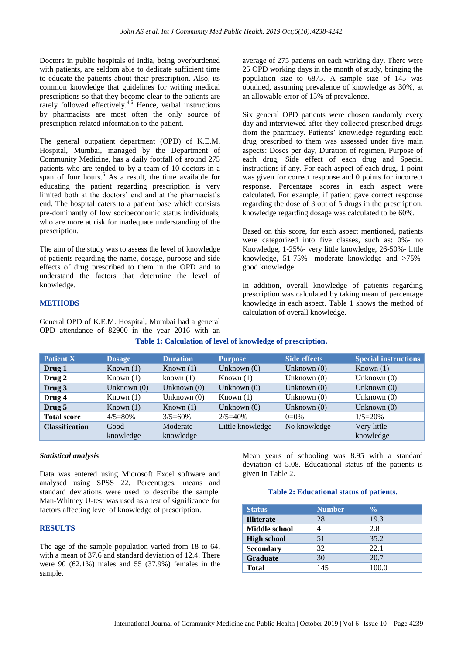Doctors in public hospitals of India, being overburdened with patients, are seldom able to dedicate sufficient time to educate the patients about their prescription. Also, its common knowledge that guidelines for writing medical prescriptions so that they become clear to the patients are rarely followed effectively.<sup>4,5</sup> Hence, verbal instructions by pharmacists are most often the only source of prescription-related information to the patient.

The general outpatient department (OPD) of K.E.M. Hospital, Mumbai, managed by the Department of Community Medicine, has a daily footfall of around 275 patients who are tended to by a team of 10 doctors in a span of four hours.<sup>6</sup> As a result, the time available for educating the patient regarding prescription is very limited both at the doctors' end and at the pharmacist's end. The hospital caters to a patient base which consists pre-dominantly of low socioeconomic status individuals, who are more at risk for inadequate understanding of the prescription.

The aim of the study was to assess the level of knowledge of patients regarding the name, dosage, purpose and side effects of drug prescribed to them in the OPD and to understand the factors that determine the level of knowledge.

General OPD of K.E.M. Hospital, Mumbai had a general OPD attendance of 82900 in the year 2016 with an average of 275 patients on each working day. There were 25 OPD working days in the month of study, bringing the population size to 6875. A sample size of 145 was obtained, assuming prevalence of knowledge as 30%, at an allowable error of 15% of prevalence.

Six general OPD patients were chosen randomly every day and interviewed after they collected prescribed drugs from the pharmacy. Patients' knowledge regarding each drug prescribed to them was assessed under five main aspects: Doses per day, Duration of regimen, Purpose of each drug, Side effect of each drug and Special instructions if any. For each aspect of each drug, 1 point was given for correct response and 0 points for incorrect response. Percentage scores in each aspect were calculated. For example, if patient gave correct response regarding the dose of 3 out of 5 drugs in the prescription, knowledge regarding dosage was calculated to be 60%.

Based on this score, for each aspect mentioned, patients were categorized into five classes, such as: 0%- no Knowledge, 1-25%- very little knowledge, 26-50%- little knowledge, 51-75%- moderate knowledge and >75% good knowledge.

In addition, overall knowledge of patients regarding prescription was calculated by taking mean of percentage knowledge in each aspect. Table 1 shows the method of calculation of overall knowledge.

| <b>Patient X</b>      | <b>Dosage</b> | <b>Duration</b> | <b>Purpose</b>   | <b>Side effects</b> | <b>Special instructions</b> |
|-----------------------|---------------|-----------------|------------------|---------------------|-----------------------------|
| Drug 1                | Known $(1)$   | Known $(1)$     | Unknown $(0)$    | Unknown $(0)$       | Known $(1)$                 |
| Drug 2                | Known $(1)$   | known $(1)$     | Known $(1)$      | Unknown $(0)$       | Unknown $(0)$               |
| Drug 3                | Unknown $(0)$ | Unknown $(0)$   | Unknown $(0)$    | Unknown $(0)$       | Unknown $(0)$               |
| Drug 4                | Known $(1)$   | Unknown $(0)$   | Known $(1)$      | Unknown $(0)$       | Unknown $(0)$               |
| Drug 5                | Known $(1)$   | Known $(1)$     | Unknown $(0)$    | Unknown $(0)$       | Unknown $(0)$               |
| <b>Total score</b>    | $4/5=80%$     | $3/5=60%$       | $2/5 = 40%$      | $0=0\%$             | $1/5=20%$                   |
| <b>Classification</b> | Good          | Moderate        | Little knowledge | No knowledge        | Very little                 |
|                       | knowledge     | knowledge       |                  |                     | knowledge                   |

| Table 1: Calculation of level of knowledge of prescription. |  |  |
|-------------------------------------------------------------|--|--|
|-------------------------------------------------------------|--|--|

## *Statistical analysis*

**METHODS**

Data was entered using Microsoft Excel software and analysed using SPSS 22. Percentages, means and standard deviations were used to describe the sample. Man-Whitney U-test was used as a test of significance for factors affecting level of knowledge of prescription.

#### **RESULTS**

The age of the sample population varied from 18 to 64, with a mean of 37.6 and standard deviation of 12.4. There were 90 (62.1%) males and 55 (37.9%) females in the sample.

Mean years of schooling was 8.95 with a standard deviation of 5.08. Educational status of the patients is given in Table 2.

#### **Table 2: Educational status of patients.**

| <b>Status</b>      | <b>Number</b> | $\frac{0}{\sqrt{2}}$ |
|--------------------|---------------|----------------------|
| <b>Illiterate</b>  | 28            | 19.3                 |
| Middle school      |               | 2.8                  |
| <b>High school</b> | 51            | 35.2                 |
| <b>Secondary</b>   | 32            | 22.1                 |
| <b>Graduate</b>    | 30            | 20.7                 |
| <b>Total</b>       | 145           | 100.0                |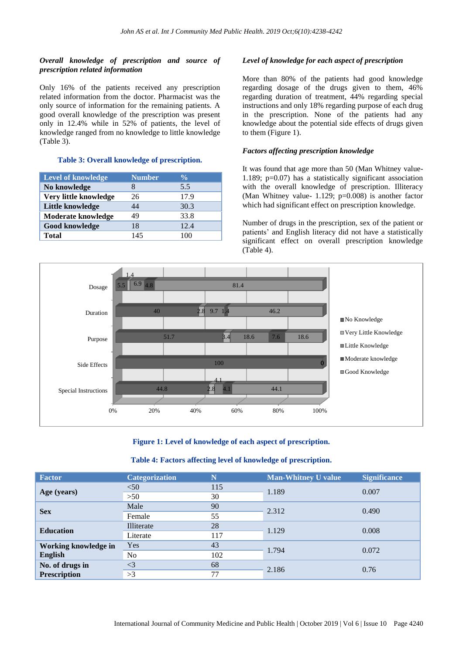## *Overall knowledge of prescription and source of prescription related information*

Only 16% of the patients received any prescription related information from the doctor. Pharmacist was the only source of information for the remaining patients. A good overall knowledge of the prescription was present only in 12.4% while in 52% of patients, the level of knowledge ranged from no knowledge to little knowledge (Table 3).

#### **Table 3: Overall knowledge of prescription.**

| <b>Level of knowledge</b> | <b>Number</b> | $\frac{0}{0}$ |
|---------------------------|---------------|---------------|
| No knowledge              |               | 5.5           |
| Very little knowledge     | 26            | 17.9          |
| Little knowledge          | 44            | 30.3          |
| Moderate knowledge        | 49            | 33.8          |
| Good knowledge            | 18            | 12.4          |
| <b>Total</b>              | 145           | 100           |

### *Level of knowledge for each aspect of prescription*

More than 80% of the patients had good knowledge regarding dosage of the drugs given to them, 46% regarding duration of treatment, 44% regarding special instructions and only 18% regarding purpose of each drug in the prescription. None of the patients had any knowledge about the potential side effects of drugs given to them (Figure 1).

## *Factors affecting prescription knowledge*

It was found that age more than 50 (Man Whitney value-1.189; p=0.07) has a statistically significant association with the overall knowledge of prescription. Illiteracy (Man Whitney value- 1.129; p=0.008) is another factor which had significant effect on prescription knowledge.

Number of drugs in the prescription, sex of the patient or patients' and English literacy did not have a statistically significant effect on overall prescription knowledge (Table 4).



**Figure 1: Level of knowledge of each aspect of prescription.**

## **Table 4: Factors affecting level of knowledge of prescription.**

| <b>Factor</b>                          | <b>Categorization</b> | N   | <b>Man-Whitney U value</b> | <b>Significance</b> |
|----------------------------------------|-----------------------|-----|----------------------------|---------------------|
|                                        | $50$                  | 115 |                            | 0.007               |
| Age (years)                            | >50                   | 30  | 1.189                      |                     |
|                                        | Male                  | 90  | 2.312                      | 0.490               |
| <b>Sex</b>                             | Female                | 55  |                            |                     |
| <b>Education</b>                       | Illiterate            | 28  | 1.129                      | 0.008               |
|                                        | Literate              | 117 |                            |                     |
| Working knowledge in                   | Yes                   | 43  | 1.794                      | 0.072               |
| English                                | N <sub>o</sub>        | 102 |                            |                     |
| No. of drugs in<br><b>Prescription</b> | $\leq$ 3              | 68  |                            | 0.76                |
|                                        | >3                    | 77  | 2.186                      |                     |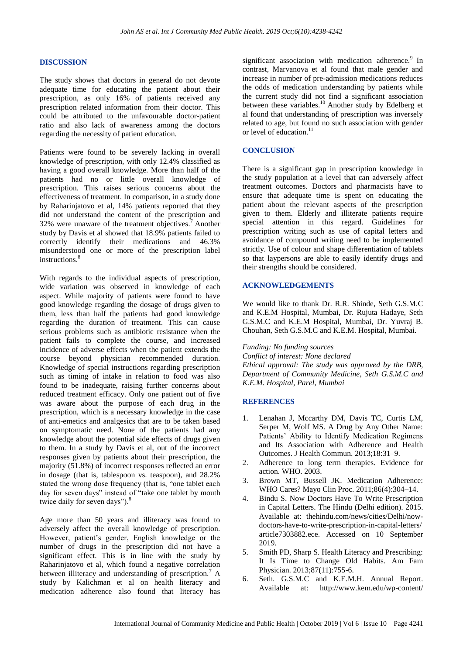#### **DISCUSSION**

The study shows that doctors in general do not devote adequate time for educating the patient about their prescription, as only 16% of patients received any prescription related information from their doctor. This could be attributed to the unfavourable doctor-patient ratio and also lack of awareness among the doctors regarding the necessity of patient education.

Patients were found to be severely lacking in overall knowledge of prescription, with only 12.4% classified as having a good overall knowledge. More than half of the patients had no or little overall knowledge of prescription. This raises serious concerns about the effectiveness of treatment. In comparison, in a study done by Raharinjatovo et al, 14% patients reported that they did not understand the content of the prescription and 32% were unaware of the treatment objectives.<sup>7</sup> Another study by Davis et al showed that 18.9% patients failed to correctly identify their medications and 46.3% misunderstood one or more of the prescription label instructions.<sup>8</sup>

With regards to the individual aspects of prescription, wide variation was observed in knowledge of each aspect. While majority of patients were found to have good knowledge regarding the dosage of drugs given to them, less than half the patients had good knowledge regarding the duration of treatment. This can cause serious problems such as antibiotic resistance when the patient fails to complete the course, and increased incidence of adverse effects when the patient extends the course beyond physician recommended duration. Knowledge of special instructions regarding prescription such as timing of intake in relation to food was also found to be inadequate, raising further concerns about reduced treatment efficacy. Only one patient out of five was aware about the purpose of each drug in the prescription, which is a necessary knowledge in the case of anti-emetics and analgesics that are to be taken based on symptomatic need. None of the patients had any knowledge about the potential side effects of drugs given to them. In a study by Davis et al, out of the incorrect responses given by patients about their prescription, the majority (51.8%) of incorrect responses reflected an error in dosage (that is, tablespoon vs. teaspoon), and 28.2% stated the wrong dose frequency (that is, "one tablet each day for seven days" instead of "take one tablet by mouth twice daily for seven days").<sup>8</sup>

Age more than 50 years and illiteracy was found to adversely affect the overall knowledge of prescription. However, patient's gender, English knowledge or the number of drugs in the prescription did not have a significant effect. This is in line with the study by Raharinjatovo et al, which found a negative correlation between illiteracy and understanding of prescription.<sup>7</sup> A study by Kalichman et al on health literacy and medication adherence also found that literacy has significant association with medication adherence.<sup>9</sup> In contrast, Marvanova et al found that male gender and increase in number of pre-admission medications reduces the odds of medication understanding by patients while the current study did not find a significant association between these variables.<sup>10</sup> Another study by Edelberg et al found that understanding of prescription was inversely related to age, but found no such association with gender or level of education.<sup>11</sup>

### **CONCLUSION**

There is a significant gap in prescription knowledge in the study population at a level that can adversely affect treatment outcomes. Doctors and pharmacists have to ensure that adequate time is spent on educating the patient about the relevant aspects of the prescription given to them. Elderly and illiterate patients require special attention in this regard. Guidelines for prescription writing such as use of capital letters and avoidance of compound writing need to be implemented strictly. Use of colour and shape differentiation of tablets so that laypersons are able to easily identify drugs and their strengths should be considered.

#### **ACKNOWLEDGEMENTS**

We would like to thank Dr. R.R. Shinde, Seth G.S.M.C and K.E.M Hospital, Mumbai, Dr. Rujuta Hadaye, Seth G.S.M.C and K.E.M Hospital, Mumbai, Dr. Yuvraj B. Chouhan, Seth G.S.M.C and K.E.M. Hospital, Mumbai.

*Funding: No funding sources*

*Conflict of interest: None declared Ethical approval: The study was approved by the DRB, Department of Community Medicine, Seth G.S.M.C and K.E.M. Hospital, Parel, Mumbai*

#### **REFERENCES**

- 1. Lenahan J, Mccarthy DM, Davis TC, Curtis LM, Serper M, Wolf MS. A Drug by Any Other Name: Patients' Ability to Identify Medication Regimens and Its Association with Adherence and Health Outcomes. J Health Commun. 2013;18:31–9.
- 2. Adherence to long term therapies. Evidence for action. WHO. 2003.
- 3. Brown MT, Bussell JK. Medication Adherence: WHO Cares? Mayo Clin Proc. 2011;86(4):304–14.
- 4. Bindu S. Now Doctors Have To Write Prescription in Capital Letters. The Hindu (Delhi edition). 2015. Available at: thehindu.com/news/cities/Delhi/nowdoctors-have-to-write-prescription-in-capital-letters/ article7303882.ece. Accessed on 10 September 2019.
- 5. Smith PD, Sharp S. Health Literacy and Prescribing: It Is Time to Change Old Habits. Am Fam Physician. 2013;87(11):755-6.
- 6. Seth. G.S.M.C and K.E.M.H. Annual Report. Available at: http://www.kem.edu/wp-content/